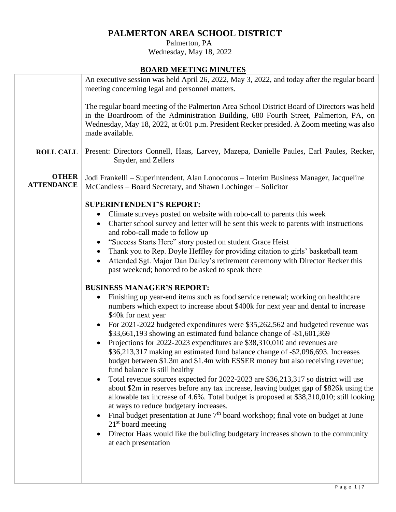# **PALMERTON AREA SCHOOL DISTRICT**

 Palmerton, PA Wednesday, May 18, 2022

# **BOARD MEETING MINUTES**

|                                   | <u> Sonato Mandria (Similio 1 m.</u>                                                                                                                                                                                                                                                                                                                                                                                                                                                                                                                                                                                                                                                                                                                                                                                                                                                                                                                                                                                                                                                                                                                                                                                                                                                                                                                                                                                                                                                                                                                                                                                                                                                                                                                                                                                                            |
|-----------------------------------|-------------------------------------------------------------------------------------------------------------------------------------------------------------------------------------------------------------------------------------------------------------------------------------------------------------------------------------------------------------------------------------------------------------------------------------------------------------------------------------------------------------------------------------------------------------------------------------------------------------------------------------------------------------------------------------------------------------------------------------------------------------------------------------------------------------------------------------------------------------------------------------------------------------------------------------------------------------------------------------------------------------------------------------------------------------------------------------------------------------------------------------------------------------------------------------------------------------------------------------------------------------------------------------------------------------------------------------------------------------------------------------------------------------------------------------------------------------------------------------------------------------------------------------------------------------------------------------------------------------------------------------------------------------------------------------------------------------------------------------------------------------------------------------------------------------------------------------------------|
|                                   | An executive session was held April 26, 2022, May 3, 2022, and today after the regular board<br>meeting concerning legal and personnel matters.                                                                                                                                                                                                                                                                                                                                                                                                                                                                                                                                                                                                                                                                                                                                                                                                                                                                                                                                                                                                                                                                                                                                                                                                                                                                                                                                                                                                                                                                                                                                                                                                                                                                                                 |
|                                   | The regular board meeting of the Palmerton Area School District Board of Directors was held<br>in the Boardroom of the Administration Building, 680 Fourth Street, Palmerton, PA, on<br>Wednesday, May 18, 2022, at 6:01 p.m. President Recker presided. A Zoom meeting was also<br>made available.                                                                                                                                                                                                                                                                                                                                                                                                                                                                                                                                                                                                                                                                                                                                                                                                                                                                                                                                                                                                                                                                                                                                                                                                                                                                                                                                                                                                                                                                                                                                             |
| <b>ROLL CALL</b>                  | Present: Directors Connell, Haas, Larvey, Mazepa, Danielle Paules, Earl Paules, Recker,<br>Snyder, and Zellers                                                                                                                                                                                                                                                                                                                                                                                                                                                                                                                                                                                                                                                                                                                                                                                                                                                                                                                                                                                                                                                                                                                                                                                                                                                                                                                                                                                                                                                                                                                                                                                                                                                                                                                                  |
| <b>OTHER</b><br><b>ATTENDANCE</b> | Jodi Frankelli – Superintendent, Alan Lonoconus – Interim Business Manager, Jacqueline<br>McCandless - Board Secretary, and Shawn Lochinger - Solicitor                                                                                                                                                                                                                                                                                                                                                                                                                                                                                                                                                                                                                                                                                                                                                                                                                                                                                                                                                                                                                                                                                                                                                                                                                                                                                                                                                                                                                                                                                                                                                                                                                                                                                         |
|                                   | <b>SUPERINTENDENT'S REPORT:</b><br>Climate surveys posted on website with robo-call to parents this week<br>$\bullet$<br>Charter school survey and letter will be sent this week to parents with instructions<br>$\bullet$<br>and robo-call made to follow up<br>"Success Starts Here" story posted on student Grace Heist<br>Thank you to Rep. Doyle Heffley for providing citation to girls' basketball team<br>Attended Sgt. Major Dan Dailey's retirement ceremony with Director Recker this<br>٠<br>past weekend; honored to be asked to speak there<br><b>BUSINESS MANAGER'S REPORT:</b><br>Finishing up year-end items such as food service renewal; working on healthcare<br>$\bullet$<br>numbers which expect to increase about \$400k for next year and dental to increase<br>\$40k for next year<br>For 2021-2022 budgeted expenditures were \$35,262,562 and budgeted revenue was<br>$\bullet$<br>\$33,661,193 showing an estimated fund balance change of -\$1,601,369<br>Projections for 2022-2023 expenditures are \$38,310,010 and revenues are<br>\$36,213,317 making an estimated fund balance change of -\$2,096,693. Increases<br>budget between \$1.3m and \$1.4m with ESSER money but also receiving revenue;<br>fund balance is still healthy<br>Total revenue sources expected for 2022-2023 are \$36,213,317 so district will use<br>$\bullet$<br>about \$2m in reserves before any tax increase, leaving budget gap of \$826k using the<br>allowable tax increase of 4.6%. Total budget is proposed at \$38,310,010; still looking<br>at ways to reduce budgetary increases.<br>Final budget presentation at June $7th$ board workshop; final vote on budget at June<br>$\bullet$<br>$21st$ board meeting<br>Director Haas would like the building budgetary increases shown to the community<br>at each presentation |
|                                   |                                                                                                                                                                                                                                                                                                                                                                                                                                                                                                                                                                                                                                                                                                                                                                                                                                                                                                                                                                                                                                                                                                                                                                                                                                                                                                                                                                                                                                                                                                                                                                                                                                                                                                                                                                                                                                                 |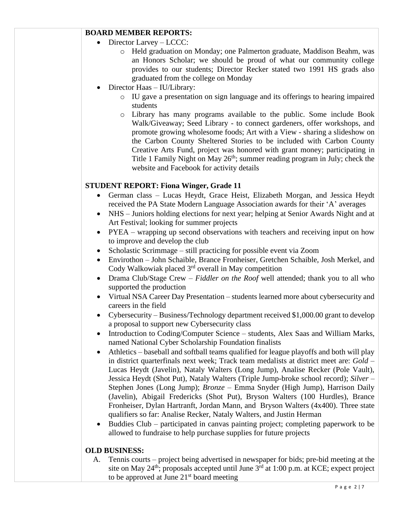## **BOARD MEMBER REPORTS:**

- Director Larvey LCCC:
	- o Held graduation on Monday; one Palmerton graduate, Maddison Beahm, was an Honors Scholar; we should be proud of what our community college provides to our students; Director Recker stated two 1991 HS grads also graduated from the college on Monday
- Director Haas IU/Library:
	- o IU gave a presentation on sign language and its offerings to hearing impaired students
	- o Library has many programs available to the public. Some include Book Walk/Giveaway; Seed Library - to connect gardeners, offer workshops, and promote growing wholesome foods; Art with a View - sharing a slideshow on the Carbon County Sheltered Stories to be included with Carbon County Creative Arts Fund, project was honored with grant money; participating in Title 1 Family Night on May  $26<sup>th</sup>$ ; summer reading program in July; check the website and Facebook for activity details

### **STUDENT REPORT: Fiona Winger, Grade 11**

- German class Lucas Heydt, Grace Heist, Elizabeth Morgan, and Jessica Heydt received the PA State Modern Language Association awards for their 'A' averages
- NHS Juniors holding elections for next year; helping at Senior Awards Night and at Art Festival; looking for summer projects
- PYEA wrapping up second observations with teachers and receiving input on how to improve and develop the club
- Scholastic Scrimmage still practicing for possible event via Zoom
- Envirothon John Schaible, Brance Fronheiser, Gretchen Schaible, Josh Merkel, and Cody Walkowiak placed  $3<sup>rd</sup>$  overall in May competition
- Drama Club/Stage Crew *Fiddler on the Roof* well attended; thank you to all who supported the production
- Virtual NSA Career Day Presentation students learned more about cybersecurity and careers in the field
- Cybersecurity Business/Technology department received \$1,000.00 grant to develop a proposal to support new Cybersecurity class
- Introduction to Coding/Computer Science students, Alex Saas and William Marks, named National Cyber Scholarship Foundation finalists
- Athletics baseball and softball teams qualified for league playoffs and both will play in district quarterfinals next week; Track team medalists at district meet are: *Gold* – Lucas Heydt (Javelin), Nataly Walters (Long Jump), Analise Recker (Pole Vault), Jessica Heydt (Shot Put), Nataly Walters (Triple Jump-broke school record); *Silver* – Stephen Jones (Long Jump); *Bronze* – Emma Snyder (High Jump), Harrison Daily (Javelin), Abigail Fredericks (Shot Put), Bryson Walters (100 Hurdles), Brance Fronheiser, Dylan Hartranft, Jordan Mann, and Bryson Walters (4x400). Three state qualifiers so far: Analise Recker, Nataly Walters, and Justin Herman
- Buddies Club participated in canvas painting project; completing paperwork to be allowed to fundraise to help purchase supplies for future projects

### **OLD BUSINESS:**

A. Tennis courts – project being advertised in newspaper for bids; pre-bid meeting at the site on May 24<sup>th</sup>; proposals accepted until June  $3<sup>rd</sup>$  at 1:00 p.m. at KCE; expect project to be approved at June  $21<sup>st</sup>$  board meeting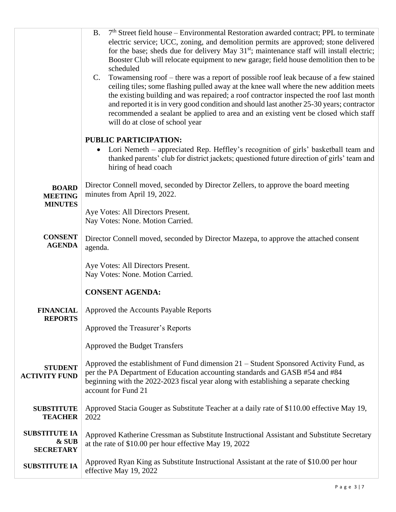|                                                   | <b>B.</b><br>$7th$ Street field house – Environmental Restoration awarded contract; PPL to terminate<br>electric service; UCC, zoning, and demolition permits are approved; stone delivered<br>for the base; sheds due for delivery May 31 <sup>st</sup> ; maintenance staff will install electric;<br>Booster Club will relocate equipment to new garage; field house demolition then to be<br>scheduled<br>Towamensing roof – there was a report of possible roof leak because of a few stained<br>C.<br>ceiling tiles; some flashing pulled away at the knee wall where the new addition meets<br>the existing building and was repaired; a roof contractor inspected the roof last month<br>and reported it is in very good condition and should last another 25-30 years; contractor<br>recommended a sealant be applied to area and an existing vent be closed which staff<br>will do at close of school year |
|---------------------------------------------------|---------------------------------------------------------------------------------------------------------------------------------------------------------------------------------------------------------------------------------------------------------------------------------------------------------------------------------------------------------------------------------------------------------------------------------------------------------------------------------------------------------------------------------------------------------------------------------------------------------------------------------------------------------------------------------------------------------------------------------------------------------------------------------------------------------------------------------------------------------------------------------------------------------------------|
|                                                   | PUBLIC PARTICIPATION:                                                                                                                                                                                                                                                                                                                                                                                                                                                                                                                                                                                                                                                                                                                                                                                                                                                                                               |
|                                                   | Lori Nemeth – appreciated Rep. Heffley's recognition of girls' basketball team and<br>thanked parents' club for district jackets; questioned future direction of girls' team and<br>hiring of head coach                                                                                                                                                                                                                                                                                                                                                                                                                                                                                                                                                                                                                                                                                                            |
| <b>BOARD</b><br><b>MEETING</b><br><b>MINUTES</b>  | Director Connell moved, seconded by Director Zellers, to approve the board meeting<br>minutes from April 19, 2022.                                                                                                                                                                                                                                                                                                                                                                                                                                                                                                                                                                                                                                                                                                                                                                                                  |
|                                                   | Aye Votes: All Directors Present.<br>Nay Votes: None. Motion Carried.                                                                                                                                                                                                                                                                                                                                                                                                                                                                                                                                                                                                                                                                                                                                                                                                                                               |
| <b>CONSENT</b><br><b>AGENDA</b>                   | Director Connell moved, seconded by Director Mazepa, to approve the attached consent<br>agenda.                                                                                                                                                                                                                                                                                                                                                                                                                                                                                                                                                                                                                                                                                                                                                                                                                     |
|                                                   | Aye Votes: All Directors Present.<br>Nay Votes: None. Motion Carried.                                                                                                                                                                                                                                                                                                                                                                                                                                                                                                                                                                                                                                                                                                                                                                                                                                               |
|                                                   | <b>CONSENT AGENDA:</b>                                                                                                                                                                                                                                                                                                                                                                                                                                                                                                                                                                                                                                                                                                                                                                                                                                                                                              |
| <b>FINANCIAL</b><br><b>REPORTS</b>                | Approved the Accounts Payable Reports                                                                                                                                                                                                                                                                                                                                                                                                                                                                                                                                                                                                                                                                                                                                                                                                                                                                               |
|                                                   | Approved the Treasurer's Reports                                                                                                                                                                                                                                                                                                                                                                                                                                                                                                                                                                                                                                                                                                                                                                                                                                                                                    |
|                                                   | Approved the Budget Transfers                                                                                                                                                                                                                                                                                                                                                                                                                                                                                                                                                                                                                                                                                                                                                                                                                                                                                       |
| <b>STUDENT</b><br><b>ACTIVITY FUND</b>            | Approved the establishment of Fund dimension 21 – Student Sponsored Activity Fund, as<br>per the PA Department of Education accounting standards and GASB #54 and #84<br>beginning with the 2022-2023 fiscal year along with establishing a separate checking<br>account for Fund 21                                                                                                                                                                                                                                                                                                                                                                                                                                                                                                                                                                                                                                |
| <b>SUBSTITUTE</b><br><b>TEACHER</b>               | Approved Stacia Gouger as Substitute Teacher at a daily rate of \$110.00 effective May 19,<br>2022                                                                                                                                                                                                                                                                                                                                                                                                                                                                                                                                                                                                                                                                                                                                                                                                                  |
| <b>SUBSTITUTE IA</b><br>& SUB<br><b>SECRETARY</b> | Approved Katherine Cressman as Substitute Instructional Assistant and Substitute Secretary<br>at the rate of \$10.00 per hour effective May 19, 2022                                                                                                                                                                                                                                                                                                                                                                                                                                                                                                                                                                                                                                                                                                                                                                |
| <b>SUBSTITUTE IA</b>                              | Approved Ryan King as Substitute Instructional Assistant at the rate of \$10.00 per hour<br>effective May 19, 2022                                                                                                                                                                                                                                                                                                                                                                                                                                                                                                                                                                                                                                                                                                                                                                                                  |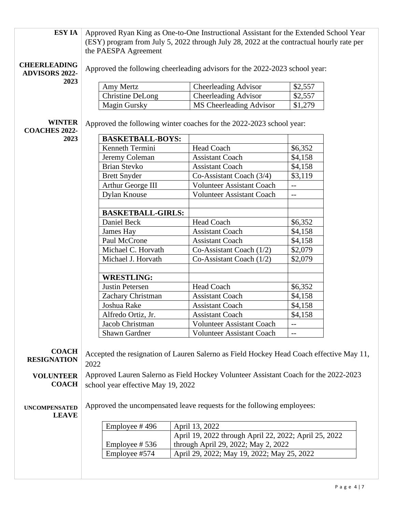| ESY IA                                       | Approved Ryan King as One-to-One Instructional Assistant for the Extended School Year                            |                                                                                         |                          |  |
|----------------------------------------------|------------------------------------------------------------------------------------------------------------------|-----------------------------------------------------------------------------------------|--------------------------|--|
|                                              | (ESY) program from July 5, 2022 through July 28, 2022 at the contractual hourly rate per<br>the PAESPA Agreement |                                                                                         |                          |  |
|                                              |                                                                                                                  |                                                                                         |                          |  |
| <b>CHEERLEADING</b><br><b>ADVISORS 2022-</b> |                                                                                                                  | Approved the following cheerleading advisors for the 2022-2023 school year:             |                          |  |
| 2023                                         |                                                                                                                  |                                                                                         |                          |  |
|                                              | Amy Mertz                                                                                                        | <b>Cheerleading Advisor</b>                                                             | \$2,557                  |  |
|                                              | <b>Christine DeLong</b>                                                                                          | <b>Cheerleading Advisor</b>                                                             | \$2,557                  |  |
|                                              | <b>Magin Gursky</b>                                                                                              | MS Cheerleading Advisor                                                                 | \$1,279                  |  |
| <b>WINTER</b><br><b>COACHES 2022-</b>        | Approved the following winter coaches for the 2022-2023 school year:                                             |                                                                                         |                          |  |
| 2023                                         | <b>BASKETBALL-BOYS:</b>                                                                                          |                                                                                         |                          |  |
|                                              | Kenneth Termini                                                                                                  | Head Coach                                                                              | \$6,352                  |  |
|                                              | Jeremy Coleman                                                                                                   | <b>Assistant Coach</b>                                                                  | \$4,158                  |  |
|                                              | <b>Brian Stevko</b>                                                                                              | <b>Assistant Coach</b>                                                                  | \$4,158                  |  |
|                                              | <b>Brett Snyder</b>                                                                                              | Co-Assistant Coach (3/4)                                                                | \$3,119                  |  |
|                                              | Arthur George III                                                                                                | <b>Volunteer Assistant Coach</b>                                                        | $-$                      |  |
|                                              | <b>Dylan Knouse</b>                                                                                              | <b>Volunteer Assistant Coach</b>                                                        | $\overline{\phantom{a}}$ |  |
|                                              | <b>BASKETBALL-GIRLS:</b>                                                                                         |                                                                                         |                          |  |
|                                              | Daniel Beck                                                                                                      | Head Coach                                                                              | \$6,352                  |  |
|                                              | James Hay                                                                                                        | <b>Assistant Coach</b>                                                                  | \$4,158                  |  |
|                                              | Paul McCrone                                                                                                     | <b>Assistant Coach</b>                                                                  | \$4,158                  |  |
|                                              | Michael C. Horvath                                                                                               | Co-Assistant Coach (1/2)                                                                | \$2,079                  |  |
|                                              | Michael J. Horvath                                                                                               | Co-Assistant Coach $(1/2)$                                                              | \$2,079                  |  |
|                                              | <b>WRESTLING:</b>                                                                                                |                                                                                         |                          |  |
|                                              | Justin Petersen                                                                                                  | Head Coach                                                                              | \$6,352                  |  |
|                                              | Zachary Christman                                                                                                | <b>Assistant Coach</b>                                                                  | \$4,158                  |  |
|                                              | Joshua Rake                                                                                                      | <b>Assistant Coach</b>                                                                  | \$4,158                  |  |
|                                              | Alfredo Ortiz, Jr.                                                                                               | <b>Assistant Coach</b>                                                                  | \$4,158                  |  |
|                                              | Jacob Christman                                                                                                  | Volunteer Assistant Coach                                                               |                          |  |
|                                              | Shawn Gardner                                                                                                    | <b>Volunteer Assistant Coach</b>                                                        | $-$                      |  |
| <b>COACH</b><br><b>RESIGNATION</b>           | 2022                                                                                                             | Accepted the resignation of Lauren Salerno as Field Hockey Head Coach effective May 11, |                          |  |
| <b>VOLUNTEER</b>                             |                                                                                                                  | Approved Lauren Salerno as Field Hockey Volunteer Assistant Coach for the 2022-2023     |                          |  |
| <b>COACH</b>                                 | school year effective May 19, 2022                                                                               |                                                                                         |                          |  |
|                                              |                                                                                                                  |                                                                                         |                          |  |
| <b>UNCOMPENSATED</b><br><b>LEAVE</b>         | Approved the uncompensated leave requests for the following employees:                                           |                                                                                         |                          |  |
|                                              | Employee #496                                                                                                    | April 13, 2022                                                                          |                          |  |
|                                              |                                                                                                                  | April 19, 2022 through April 22, 2022; April 25, 2022                                   |                          |  |
|                                              | Employee #536                                                                                                    | through April 29, 2022; May 2, 2022                                                     |                          |  |
|                                              | Employee #574                                                                                                    | April 29, 2022; May 19, 2022; May 25, 2022                                              |                          |  |
|                                              |                                                                                                                  |                                                                                         |                          |  |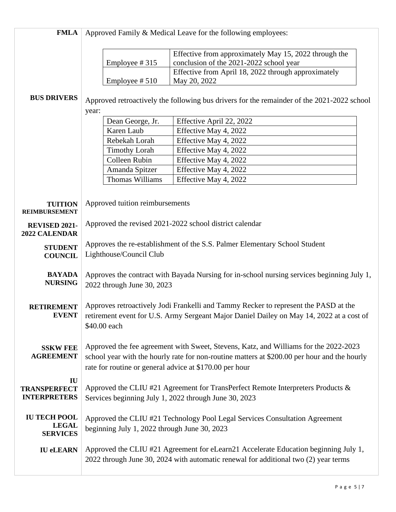| <b>FMLA</b>                                            | Approved Family & Medical Leave for the following employees:                                                                                                                                                                                    |                                                                                                                                                                            |  |
|--------------------------------------------------------|-------------------------------------------------------------------------------------------------------------------------------------------------------------------------------------------------------------------------------------------------|----------------------------------------------------------------------------------------------------------------------------------------------------------------------------|--|
|                                                        | Employee #315                                                                                                                                                                                                                                   | Effective from approximately May 15, 2022 through the<br>conclusion of the 2021-2022 school year<br>Effective from April 18, 2022 through approximately                    |  |
|                                                        | Employee #510                                                                                                                                                                                                                                   | May 20, 2022                                                                                                                                                               |  |
| <b>BUS DRIVERS</b>                                     | Approved retroactively the following bus drivers for the remainder of the 2021-2022 school<br>year:                                                                                                                                             |                                                                                                                                                                            |  |
|                                                        | Dean George, Jr.                                                                                                                                                                                                                                | Effective April 22, 2022                                                                                                                                                   |  |
|                                                        | Karen Laub                                                                                                                                                                                                                                      | Effective May 4, 2022                                                                                                                                                      |  |
|                                                        | Rebekah Lorah                                                                                                                                                                                                                                   | Effective May 4, 2022                                                                                                                                                      |  |
|                                                        | <b>Timothy Lorah</b>                                                                                                                                                                                                                            | Effective May 4, 2022                                                                                                                                                      |  |
|                                                        | Colleen Rubin                                                                                                                                                                                                                                   | Effective May 4, 2022                                                                                                                                                      |  |
|                                                        | Amanda Spitzer                                                                                                                                                                                                                                  | Effective May 4, 2022                                                                                                                                                      |  |
|                                                        | Thomas Williams                                                                                                                                                                                                                                 | Effective May 4, 2022                                                                                                                                                      |  |
| <b>TUITION</b><br><b>REIMBURSEMENT</b>                 | Approved tuition reimbursements                                                                                                                                                                                                                 |                                                                                                                                                                            |  |
| REVISED 2021-<br>2022 CALENDAR                         | Approved the revised 2021-2022 school district calendar                                                                                                                                                                                         |                                                                                                                                                                            |  |
| <b>STUDENT</b><br><b>COUNCIL</b>                       | Approves the re-establishment of the S.S. Palmer Elementary School Student<br>Lighthouse/Council Club                                                                                                                                           |                                                                                                                                                                            |  |
| <b>BAYADA</b><br><b>NURSING</b>                        | Approves the contract with Bayada Nursing for in-school nursing services beginning July 1,<br>2022 through June 30, 2023                                                                                                                        |                                                                                                                                                                            |  |
| <b>RETIREMENT</b><br><b>EVENT</b>                      | Approves retroactively Jodi Frankelli and Tammy Recker to represent the PASD at the<br>retirement event for U.S. Army Sergeant Major Daniel Dailey on May 14, 2022 at a cost of<br>\$40.00 each                                                 |                                                                                                                                                                            |  |
| <b>SSKW FEE</b><br><b>AGREEMENT</b>                    | Approved the fee agreement with Sweet, Stevens, Katz, and Williams for the 2022-2023<br>school year with the hourly rate for non-routine matters at \$200.00 per hour and the hourly<br>rate for routine or general advice at \$170.00 per hour |                                                                                                                                                                            |  |
| IU<br><b>TRANSPERFECT</b><br><b>INTERPRETERS</b>       | Approved the CLIU #21 Agreement for TransPerfect Remote Interpreters Products &<br>Services beginning July 1, 2022 through June 30, 2023                                                                                                        |                                                                                                                                                                            |  |
| <b>IU TECH POOL</b><br><b>LEGAL</b><br><b>SERVICES</b> | Approved the CLIU #21 Technology Pool Legal Services Consultation Agreement<br>beginning July 1, 2022 through June 30, 2023                                                                                                                     |                                                                                                                                                                            |  |
| <b>IU eLEARN</b>                                       |                                                                                                                                                                                                                                                 | Approved the CLIU #21 Agreement for eLearn21 Accelerate Education beginning July 1,<br>2022 through June 30, 2024 with automatic renewal for additional two (2) year terms |  |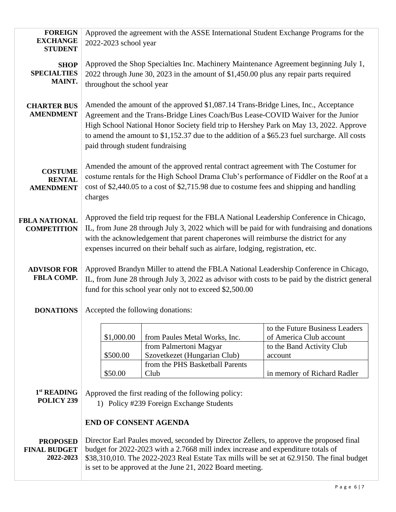| <b>FOREIGN</b><br><b>EXCHANGE</b><br><b>STUDENT</b> | Approved the agreement with the ASSE International Student Exchange Programs for the<br>2022-2023 school year                                                                                                                                                                                                                                                                                        |                                                                                                                                    |                                                                                                                                  |
|-----------------------------------------------------|------------------------------------------------------------------------------------------------------------------------------------------------------------------------------------------------------------------------------------------------------------------------------------------------------------------------------------------------------------------------------------------------------|------------------------------------------------------------------------------------------------------------------------------------|----------------------------------------------------------------------------------------------------------------------------------|
| <b>SHOP</b><br><b>SPECIALTIES</b><br>MAINT.         | Approved the Shop Specialties Inc. Machinery Maintenance Agreement beginning July 1,<br>2022 through June 30, 2023 in the amount of \$1,450.00 plus any repair parts required<br>throughout the school year                                                                                                                                                                                          |                                                                                                                                    |                                                                                                                                  |
| <b>CHARTER BUS</b><br><b>AMENDMENT</b>              | Amended the amount of the approved \$1,087.14 Trans-Bridge Lines, Inc., Acceptance<br>Agreement and the Trans-Bridge Lines Coach/Bus Lease-COVID Waiver for the Junior<br>High School National Honor Society field trip to Hershey Park on May 13, 2022. Approve<br>to amend the amount to \$1,152.37 due to the addition of a \$65.23 fuel surcharge. All costs<br>paid through student fundraising |                                                                                                                                    |                                                                                                                                  |
| <b>COSTUME</b><br><b>RENTAL</b><br><b>AMENDMENT</b> | Amended the amount of the approved rental contract agreement with The Costumer for<br>costume rentals for the High School Drama Club's performance of Fiddler on the Roof at a<br>cost of \$2,440.05 to a cost of \$2,715.98 due to costume fees and shipping and handling<br>charges                                                                                                                |                                                                                                                                    |                                                                                                                                  |
| <b>FBLA NATIONAL</b><br><b>COMPETITION</b>          | Approved the field trip request for the FBLA National Leadership Conference in Chicago,<br>IL, from June 28 through July 3, 2022 which will be paid for with fundraising and donations<br>with the acknowledgement that parent chaperones will reimburse the district for any<br>expenses incurred on their behalf such as airfare, lodging, registration, etc.                                      |                                                                                                                                    |                                                                                                                                  |
| <b>ADVISOR FOR</b><br>FBLA COMP.                    | Approved Brandyn Miller to attend the FBLA National Leadership Conference in Chicago,<br>IL, from June 28 through July 3, 2022 as advisor with costs to be paid by the district general<br>fund for this school year only not to exceed \$2,500.00                                                                                                                                                   |                                                                                                                                    |                                                                                                                                  |
| <b>DONATIONS</b>                                    | Accepted the following donations:                                                                                                                                                                                                                                                                                                                                                                    |                                                                                                                                    |                                                                                                                                  |
|                                                     | \$1,000.00<br>\$500.00<br>\$50.00                                                                                                                                                                                                                                                                                                                                                                    | from Paules Metal Works, Inc.<br>from Palmertoni Magyar<br>Szovetkezet (Hungarian Club)<br>from the PHS Basketball Parents<br>Club | to the Future Business Leaders<br>of America Club account<br>to the Band Activity Club<br>account<br>in memory of Richard Radler |
| 1st READING<br>POLICY 239                           | Approved the first reading of the following policy:<br>1) Policy #239 Foreign Exchange Students                                                                                                                                                                                                                                                                                                      |                                                                                                                                    |                                                                                                                                  |
|                                                     | <b>END OF CONSENT AGENDA</b>                                                                                                                                                                                                                                                                                                                                                                         |                                                                                                                                    |                                                                                                                                  |
| <b>PROPOSED</b><br><b>FINAL BUDGET</b><br>2022-2023 | Director Earl Paules moved, seconded by Director Zellers, to approve the proposed final<br>budget for 2022-2023 with a 2.7668 mill index increase and expenditure totals of<br>\$38,310,010. The 2022-2023 Real Estate Tax mills will be set at 62.9150. The final budget<br>is set to be approved at the June 21, 2022 Board meeting.                                                               |                                                                                                                                    |                                                                                                                                  |